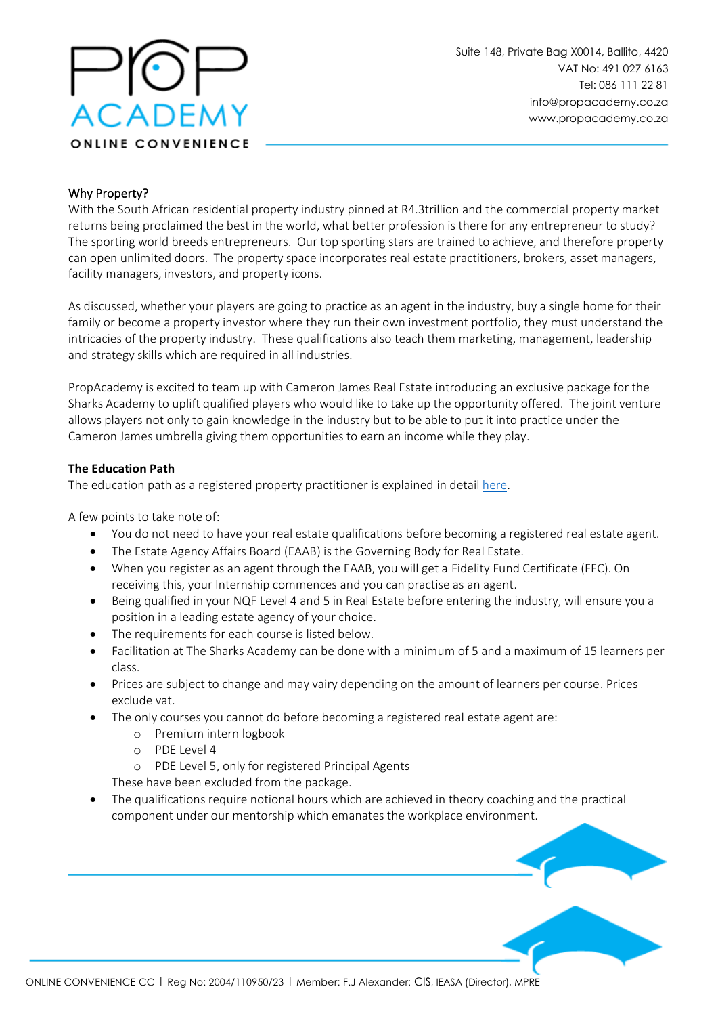

## Why Property?

With the South African residential property industry pinned at R4.3trillion and the commercial property market returns being proclaimed the best in the world, what better profession is there for any entrepreneur to study? The sporting world breeds entrepreneurs. Our top sporting stars are trained to achieve, and therefore property can open unlimited doors. The property space incorporates real estate practitioners, brokers, asset managers, facility managers, investors, and property icons.

As discussed, whether your players are going to practice as an agent in the industry, buy a single home for their family or become a property investor where they run their own investment portfolio, they must understand the intricacies of the property industry. These qualifications also teach them marketing, management, leadership and strategy skills which are required in all industries.

PropAcademy is excited to team up with Cameron James Real Estate introducing an exclusive package for the Sharks Academy to uplift qualified players who would like to take up the opportunity offered. The joint venture allows players not only to gain knowledge in the industry but to be able to put it into practice under the Cameron James umbrella giving them opportunities to earn an income while they play.

#### **The Education Path**

The education path as a registered property practitioner is explained in detail [here.](https://www.propacademy.co.za/qualify-as-a-real-estate-agent/)

A few points to take note of:

- You do not need to have your real estate qualifications before becoming a registered real estate agent.
- The Estate Agency Affairs Board (EAAB) is the Governing Body for Real Estate.
- When you register as an agent through the EAAB, you will get a Fidelity Fund Certificate (FFC). On receiving this, your Internship commences and you can practise as an agent.
- Being qualified in your NQF Level 4 and 5 in Real Estate before entering the industry, will ensure you a position in a leading estate agency of your choice.
- The requirements for each course is listed below.
- Facilitation at The Sharks Academy can be done with a minimum of 5 and a maximum of 15 learners per class.
- Prices are subject to change and may vairy depending on the amount of learners per course. Prices exclude vat.
- The only courses you cannot do before becoming a registered real estate agent are:
	- o Premium intern logbook
	- o PDE Level 4
	- o PDE Level 5, only for registered Principal Agents

These have been excluded from the package.

• The qualifications require notional hours which are achieved in theory coaching and the practical component under our mentorship which emanates the workplace environment.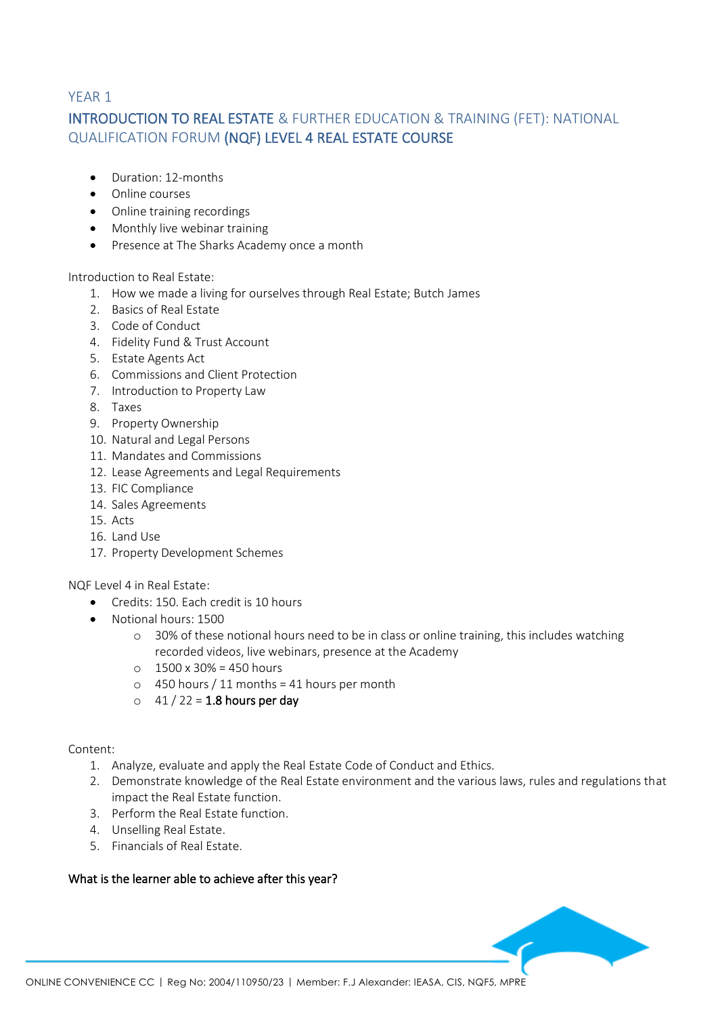# YEAR 1 INTRODUCTION TO REAL ESTATE & FURTHER EDUCATION & TRAINING (FET): NATIONAL QUALIFICATION FORUM (NQF) LEVEL 4 REAL ESTATE COURSE

- Duration: 12-months
- Online courses
- Online training recordings
- Monthly live webinar training
- Presence at The Sharks Academy once a month

Introduction to Real Estate:

- 1. How we made a living for ourselves through Real Estate; Butch James
- 2. Basics of Real Estate
- 3. Code of Conduct
- 4. Fidelity Fund & Trust Account
- 5. Estate Agents Act
- 6. Commissions and Client Protection
- 7. Introduction to Property Law
- 8. Taxes
- 9. Property Ownership
- 10. Natural and Legal Persons
- 11. Mandates and Commissions
- 12. Lease Agreements and Legal Requirements
- 13. FIC Compliance
- 14. Sales Agreements
- 15. Acts
- 16. Land Use
- 17. Property Development Schemes

NQF Level 4 in Real Estate:

- Credits: 150. Each credit is 10 hours
- Notional hours: 1500
	- o 30% of these notional hours need to be in class or online training, this includes watching recorded videos, live webinars, presence at the Academy
	- $\circ$  1500 x 30% = 450 hours
	- $\circ$  450 hours / 11 months = 41 hours per month
	- $\circ$  41 / 22 = 1.8 hours per day

#### Content:

- 1. Analyze, evaluate and apply the Real Estate Code of Conduct and Ethics.
- 2. Demonstrate knowledge of the Real Estate environment and the various laws, rules and regulations that impact the Real Estate function.
- 3. Perform the Real Estate function.
- 4. Unselling Real Estate.
- 5. Financials of Real Estate.

## What is the learner able to achieve after this year?